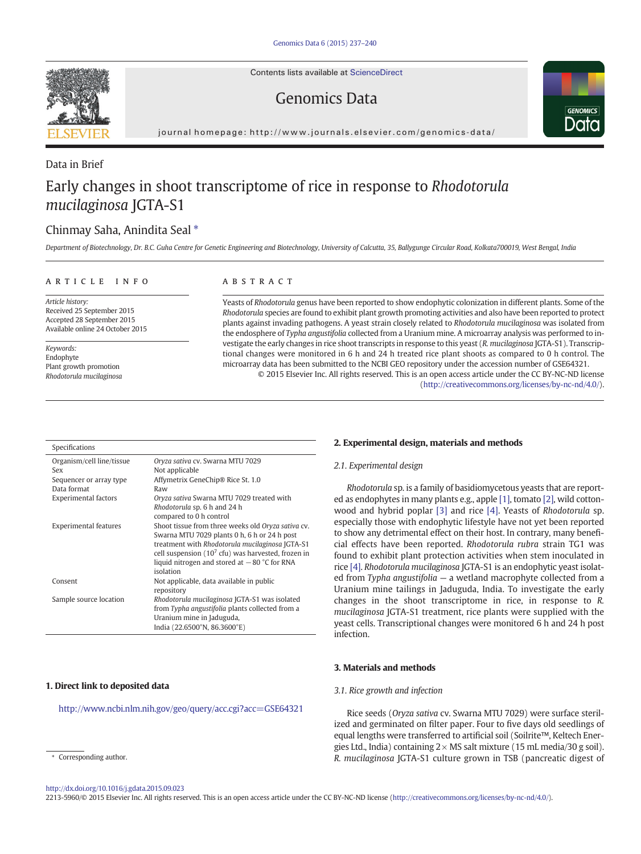Contents lists available at [ScienceDirect](http://www.sciencedirect.com/science/journal/22135960)

# Genomics Data



journal homepage: http://www.journals.elsevier.com/genomics-data/

# Data in Brief Early changes in shoot transcriptome of rice in response to Rhodotorula mucilaginosa JGTA-S1

# Chinmay Saha, Anindita Seal  $*$

Department of Biotechnology, Dr. B.C. Guha Centre for Genetic Engineering and Biotechnology, University of Calcutta, 35, Ballygunge Circular Road, Kolkata700019, West Bengal, India

# article info abstract

Article history: Received 25 September 2015 Accepted 28 September 2015 Available online 24 October 2015

Keywords: Endophyte Plant growth promotion Rhodotorula mucilaginosa

Yeasts of Rhodotorula genus have been reported to show endophytic colonization in different plants. Some of the Rhodotorula species are found to exhibit plant growth promoting activities and also have been reported to protect plants against invading pathogens. A yeast strain closely related to Rhodotorula mucilaginosa was isolated from the endosphere of Typha angustifolia collected from a Uranium mine. A microarray analysis was performed to investigate the early changes in rice shoot transcripts in response to this yeast (R. mucilaginosa JGTA-S1). Transcriptional changes were monitored in 6 h and 24 h treated rice plant shoots as compared to 0 h control. The microarray data has been submitted to the NCBI GEO repository under the accession number of GSE64321. © 2015 Elsevier Inc. All rights reserved. This is an open access article under the CC BY-NC-ND license

([http://creativecommons.org/licenses/by-nc-nd/4.0/\)](http://creativecommons.org/licenses/by-nc-nd/4.0/).

| Specifications                   |                                                                                                                                                                                                                                                                               |
|----------------------------------|-------------------------------------------------------------------------------------------------------------------------------------------------------------------------------------------------------------------------------------------------------------------------------|
| Organism/cell line/tissue<br>Sex | Oryza sativa cv. Swarna MTU 7029<br>Not applicable                                                                                                                                                                                                                            |
| Sequencer or array type          | Affymetrix GeneChip® Rice St. 1.0                                                                                                                                                                                                                                             |
| Data format                      | Raw                                                                                                                                                                                                                                                                           |
| <b>Experimental factors</b>      | Oryza sativa Swarna MTU 7029 treated with<br>Rhodotorula sp. 6 h and 24 h<br>compared to 0 h control                                                                                                                                                                          |
| <b>Experimental features</b>     | Shoot tissue from three weeks old Oryza sativa cv.<br>Swarna MTU 7029 plants 0 h, 6 h or 24 h post<br>treatment with Rhodotorula mucilaginosa JGTA-S1<br>cell suspension ( $107$ cfu) was harvested, frozen in<br>liquid nitrogen and stored at $-80$ °C for RNA<br>isolation |
| Consent                          | Not applicable, data available in public<br>repository                                                                                                                                                                                                                        |
| Sample source location           | Rhodotorula mucilaginosa JGTA-S1 was isolated<br>from Typha angustifolia plants collected from a<br>Uranium mine in Jaduguda,<br>India (22.6500°N, 86.3600°E)                                                                                                                 |

# 1. Direct link to deposited data

<http://www.ncbi.nlm.nih.gov/geo/query/acc.cgi?acc=GSE64321>

# 2. Experimental design, materials and methods

# 2.1. Experimental design

Rhodotorula sp. is a family of basidiomycetous yeasts that are reported as endophytes in many plants e.g., apple [\[1\],](#page-3-0) tomato [\[2\],](#page-3-0) wild cottonwood and hybrid poplar [\[3\]](#page-3-0) and rice [\[4\]](#page-3-0). Yeasts of Rhodotorula sp. especially those with endophytic lifestyle have not yet been reported to show any detrimental effect on their host. In contrary, many beneficial effects have been reported. Rhodotorula rubra strain TG1 was found to exhibit plant protection activities when stem inoculated in rice [\[4\]](#page-3-0). Rhodotorula mucilaginosa JGTA-S1 is an endophytic yeast isolated from Typha angustifolia — a wetland macrophyte collected from a Uranium mine tailings in Jaduguda, India. To investigate the early changes in the shoot transcriptome in rice, in response to R. mucilaginosa JGTA-S1 treatment, rice plants were supplied with the yeast cells. Transcriptional changes were monitored 6 h and 24 h post infection.

# 3. Materials and methods

## 3.1. Rice growth and infection

Rice seeds (Oryza sativa cv. Swarna MTU 7029) were surface sterilized and germinated on filter paper. Four to five days old seedlings of equal lengths were transferred to artificial soil (Soilrite™, Keltech Energies Ltd., India) containing  $2 \times MS$  salt mixture (15 mL media/30 g soil). R. mucilaginosa JGTA-S1 culture grown in TSB (pancreatic digest of



Corresponding author.

<http://dx.doi.org/10.1016/j.gdata.2015.09.023>

<sup>2213-5960/© 2015</sup> Elsevier Inc. All rights reserved. This is an open access article under the CC BY-NC-ND license [\(http://creativecommons.org/licenses/by-nc-nd/4.0/\)](http://creativecommons.org/licenses/by-nc-nd/4.0/).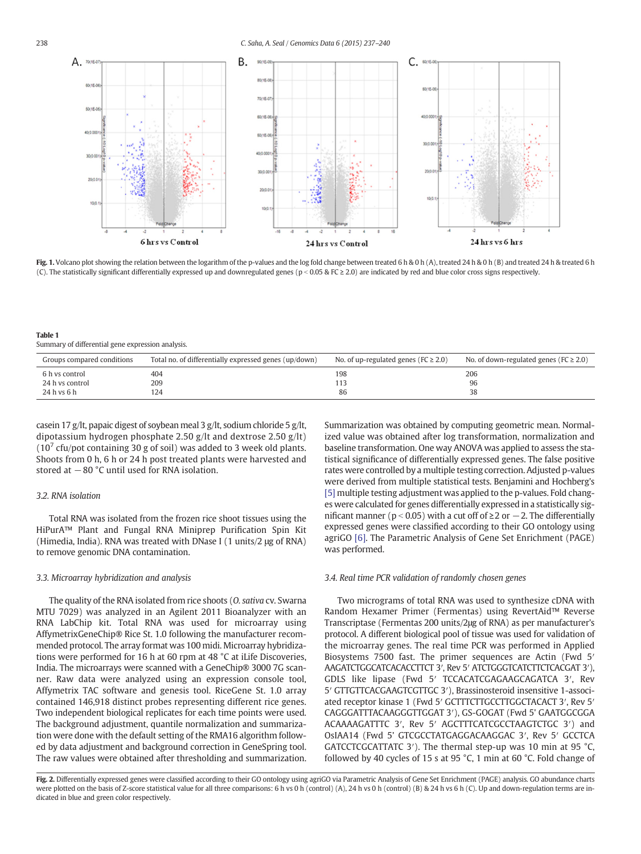<span id="page-1-0"></span>

Fig. 1. Volcano plot showing the relation between the logarithm of the p-values and the log fold change between treated 6 h & 0 h (A), treated 24 h & 0 h (B) and treated 24 h & treated 6 h (C). The statistically significant differentially expressed up and downregulated genes (p < 0.05 & FC ≥ 2.0) are indicated by red and blue color cross signs respectively.

Table 1 Summary of differential gene expression analysis.

| Groups compared conditions | Total no. of differentially expressed genes (up/down) | No. of up-regulated genes ( $FC \geq 2.0$ ) | No. of down-regulated genes ( $FC \geq 2.0$ ) |
|----------------------------|-------------------------------------------------------|---------------------------------------------|-----------------------------------------------|
| 6 h vs control             | 404                                                   | 198                                         | 206                                           |
| 24 h vs control            | 209                                                   |                                             | 96                                            |
| 24 h vs 6 h                | 124                                                   | 86                                          | 38                                            |

casein 17 g/lt, papaic digest of soybean meal 3 g/lt, sodium chloride 5 g/lt, dipotassium hydrogen phosphate 2.50 g/lt and dextrose 2.50 g/lt) ( $10<sup>7</sup>$  cfu/pot containing 30 g of soil) was added to 3 week old plants. Shoots from 0 h, 6 h or 24 h post treated plants were harvested and stored at −80 °C until used for RNA isolation.

# 3.2. RNA isolation

Total RNA was isolated from the frozen rice shoot tissues using the HiPurA™ Plant and Fungal RNA Miniprep Purification Spin Kit (Himedia, India). RNA was treated with DNase I (1 units/2 μg of RNA) to remove genomic DNA contamination.

## 3.3. Microarray hybridization and analysis

The quality of the RNA isolated from rice shoots (O. sativa cv. Swarna MTU 7029) was analyzed in an Agilent 2011 Bioanalyzer with an RNA LabChip kit. Total RNA was used for microarray using AffymetrixGeneChip® Rice St. 1.0 following the manufacturer recommended protocol. The array format was 100 midi. Microarray hybridizations were performed for 16 h at 60 rpm at 48 °C at iLife Discoveries, India. The microarrays were scanned with a GeneChip® 3000 7G scanner. Raw data were analyzed using an expression console tool, Affymetrix TAC software and genesis tool. RiceGene St. 1.0 array contained 146,918 distinct probes representing different rice genes. Two independent biological replicates for each time points were used. The background adjustment, quantile normalization and summarization were done with the default setting of the RMA16 algorithm followed by data adjustment and background correction in GeneSpring tool. The raw values were obtained after thresholding and summarization. Summarization was obtained by computing geometric mean. Normalized value was obtained after log transformation, normalization and baseline transformation. One way ANOVA was applied to assess the statistical significance of differentially expressed genes. The false positive rates were controlled by a multiple testing correction. Adjusted p-values were derived from multiple statistical tests. Benjamini and Hochberg's [\[5\]](#page-3-0) multiple testing adjustment was applied to the p-values. Fold changes were calculated for genes differentially expressed in a statistically significant manner ( $p < 0.05$ ) with a cut off of ≥2 or  $-2$ . The differentially expressed genes were classified according to their GO ontology using agriGO [\[6\].](#page-3-0) The Parametric Analysis of Gene Set Enrichment (PAGE) was performed.

## 3.4. Real time PCR validation of randomly chosen genes

Two micrograms of total RNA was used to synthesize cDNA with Random Hexamer Primer (Fermentas) using RevertAid™ Reverse Transcriptase (Fermentas 200 units/2μg of RNA) as per manufacturer's protocol. A different biological pool of tissue was used for validation of the microarray genes. The real time PCR was performed in Applied Biosystems 7500 fast. The primer sequences are Actin (Fwd 5′ AAGATCTGGCATCACACCTTCT 3′, Rev 5′ ATCTGGGTCATCTTCTCACGAT 3′), GDLS like lipase (Fwd 5′ TCCACATCGAGAAGCAGATCA 3′, Rev 5′ GTTGTTCACGAAGTCGTTGC 3′), Brassinosteroid insensitive 1-associated receptor kinase 1 (Fwd 5′ GCTTTCTTGCCTTGGCTACACT 3′, Rev 5′ CAGGGATTTACAAGGGTTGGAT 3′), GS-GOGAT (Fwd 5' GAATGGCGGA ACAAAAGATTTC 3′, Rev 5′ AGCTTTCATCGCCTAAGTCTGC 3′) and OsIAA14 (Fwd 5' GTCGCCTATGAGGACAAGGAC 3′, Rev 5′ GCCTCA GATCCTCGCATTATC 3′). The thermal step-up was 10 min at 95 °C, followed by 40 cycles of 15 s at 95 °C, 1 min at 60 °C. Fold change of

Fig. 2. Differentially expressed genes were classified according to their GO ontology using agriGO via Parametric Analysis of Gene Set Enrichment (PAGE) analysis. GO abundance charts were plotted on the basis of Z-score statistical value for all three comparisons: 6 h vs 0 h (control) (A), 24 h vs 0 h (control) (B) & 24 h vs 6 h (C). Up and down-regulation terms are indicated in blue and green color respectively.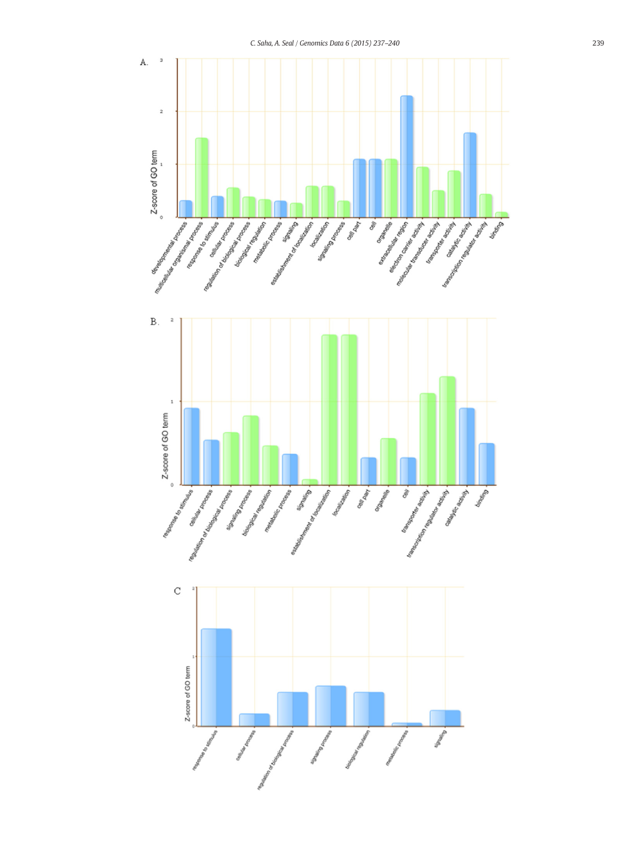